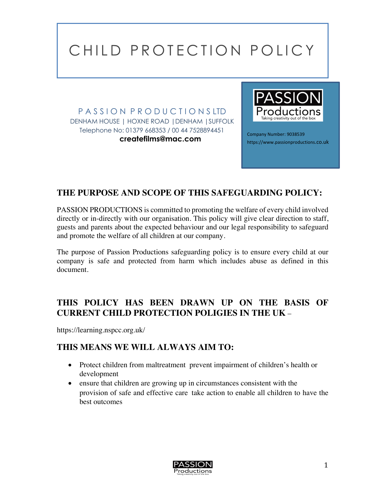P A S S I O N P R O D U C T I O N S LTD DENHAM HOUSE | HOXNE ROAD |DENHAM |SUFFOLK Telephone No: 01379 668353 / 00 44 7528894451 **createfilms@mac.com**



Company Number: 9038539 https://www.passionproductions.co.uk

## **THE PURPOSE AND SCOPE OF THIS SAFEGUARDING POLICY:**

PASSION PRODUCTIONS is committed to promoting the welfare of every child involved directly or in-directly with our organisation. This policy will give clear direction to staff, guests and parents about the expected behaviour and our legal responsibility to safeguard and promote the welfare of all children at our company.

The purpose of Passion Productions safeguarding policy is to ensure every child at our company is safe and protected from harm which includes abuse as defined in this document.

#### **THIS POLICY HAS BEEN DRAWN UP ON THE BASIS OF CURRENT CHILD PROTECTION POLIGIES IN THE UK** –

https://learning.nspcc.org.uk/

#### **THIS MEANS WE WILL ALWAYS AIM TO:**

- Protect children from maltreatment prevent impairment of children's health or development
- ensure that children are growing up in circumstances consistent with the provision of safe and effective care take action to enable all children to have the best outcomes

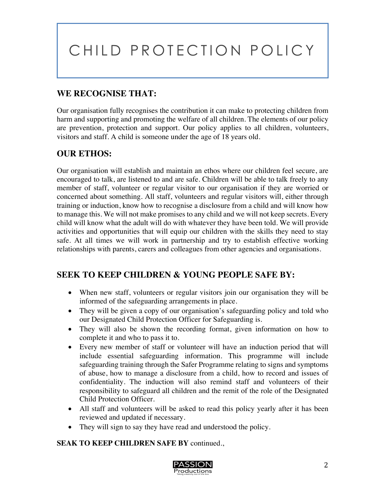## **WE RECOGNISE THAT:**

Our organisation fully recognises the contribution it can make to protecting children from harm and supporting and promoting the welfare of all children. The elements of our policy are prevention, protection and support. Our policy applies to all children, volunteers, visitors and staff. A child is someone under the age of 18 years old.

## **OUR ETHOS:**

Our organisation will establish and maintain an ethos where our children feel secure, are encouraged to talk, are listened to and are safe. Children will be able to talk freely to any member of staff, volunteer or regular visitor to our organisation if they are worried or concerned about something. All staff, volunteers and regular visitors will, either through training or induction, know how to recognise a disclosure from a child and will know how to manage this. We will not make promises to any child and we will not keep secrets. Every child will know what the adult will do with whatever they have been told. We will provide activities and opportunities that will equip our children with the skills they need to stay safe. At all times we will work in partnership and try to establish effective working relationships with parents, carers and colleagues from other agencies and organisations.

#### **SEEK TO KEEP CHILDREN & YOUNG PEOPLE SAFE BY:**

- When new staff, volunteers or regular visitors join our organisation they will be informed of the safeguarding arrangements in place.
- They will be given a copy of our organisation's safeguarding policy and told who our Designated Child Protection Officer for Safeguarding is.
- They will also be shown the recording format, given information on how to complete it and who to pass it to.
- Every new member of staff or volunteer will have an induction period that will include essential safeguarding information. This programme will include safeguarding training through the Safer Programme relating to signs and symptoms of abuse, how to manage a disclosure from a child, how to record and issues of confidentiality. The induction will also remind staff and volunteers of their responsibility to safeguard all children and the remit of the role of the Designated Child Protection Officer.
- All staff and volunteers will be asked to read this policy yearly after it has been reviewed and updated if necessary.
- They will sign to say they have read and understood the policy.

#### **SEAK TO KEEP CHILDREN SAFE BY** continued.,

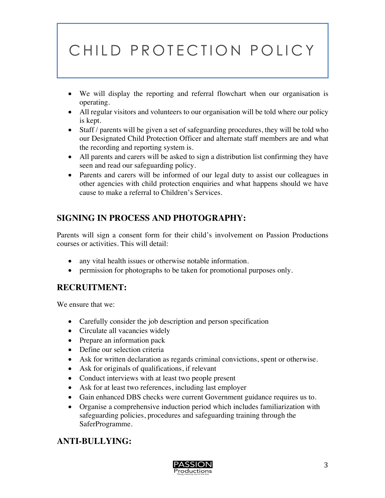- We will display the reporting and referral flowchart when our organisation is operating.
- All regular visitors and volunteers to our organisation will be told where our policy is kept.
- Staff / parents will be given a set of safeguarding procedures, they will be told who our Designated Child Protection Officer and alternate staff members are and what the recording and reporting system is.
- All parents and carers will be asked to sign a distribution list confirming they have seen and read our safeguarding policy.
- Parents and carers will be informed of our legal duty to assist our colleagues in other agencies with child protection enquiries and what happens should we have cause to make a referral to Children's Services.

## **SIGNING IN PROCESS AND PHOTOGRAPHY:**

Parents will sign a consent form for their child's involvement on Passion Productions courses or activities. This will detail:

- any vital health issues or otherwise notable information.
- permission for photographs to be taken for promotional purposes only.

#### **RECRUITMENT:**

We ensure that we:

- Carefully consider the job description and person specification
- Circulate all vacancies widely
- Prepare an information pack
- Define our selection criteria
- Ask for written declaration as regards criminal convictions, spent or otherwise.
- Ask for originals of qualifications, if relevant
- Conduct interviews with at least two people present
- Ask for at least two references, including last employer
- Gain enhanced DBS checks were current Government guidance requires us to.
- Organise a comprehensive induction period which includes familiarization with safeguarding policies, procedures and safeguarding training through the SaferProgramme.

## **ANTI-BULLYING:**

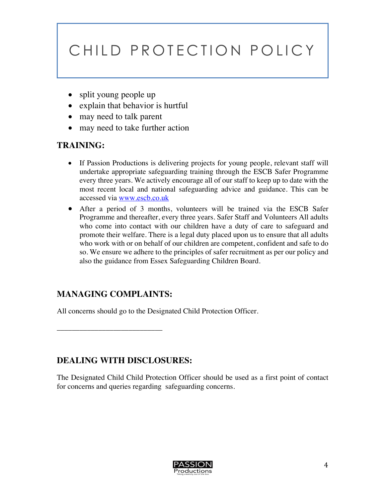- split young people up
- explain that behavior is hurtful
- may need to talk parent
- may need to take further action

#### **TRAINING:**

- If Passion Productions is delivering projects for young people, relevant staff will undertake appropriate safeguarding training through the ESCB Safer Programme every three years. We actively encourage all of our staff to keep up to date with the most recent local and national safeguarding advice and guidance. This can be accessed via www.escb.co.uk
- After a period of 3 months, volunteers will be trained via the ESCB Safer Programme and thereafter, every three years. Safer Staff and Volunteers All adults who come into contact with our children have a duty of care to safeguard and promote their welfare. There is a legal duty placed upon us to ensure that all adults who work with or on behalf of our children are competent, confident and safe to do so. We ensure we adhere to the principles of safer recruitment as per our policy and also the guidance from Essex Safeguarding Children Board.

#### **MANAGING COMPLAINTS:**

\_\_\_\_\_\_\_\_\_\_\_\_\_\_\_\_\_\_\_\_\_\_\_\_\_\_\_\_

All concerns should go to the Designated Child Protection Officer.

#### **DEALING WITH DISCLOSURES:**

The Designated Child Child Protection Officer should be used as a first point of contact for concerns and queries regarding safeguarding concerns.

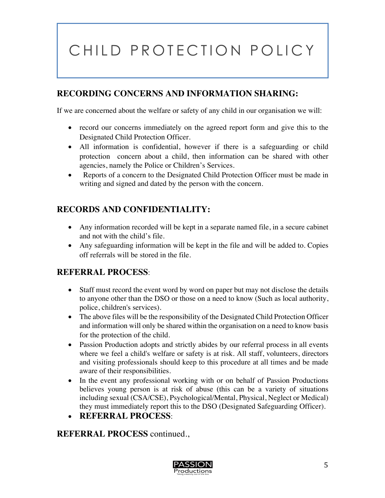#### **RECORDING CONCERNS AND INFORMATION SHARING:**

If we are concerned about the welfare or safety of any child in our organisation we will:

- record our concerns immediately on the agreed report form and give this to the Designated Child Protection Officer.
- All information is confidential, however if there is a safeguarding or child protection concern about a child, then information can be shared with other agencies, namely the Police or Children's Services.
- Reports of a concern to the Designated Child Protection Officer must be made in writing and signed and dated by the person with the concern.

#### **RECORDS AND CONFIDENTIALITY:**

- Any information recorded will be kept in a separate named file, in a secure cabinet and not with the child's file.
- Any safeguarding information will be kept in the file and will be added to. Copies off referrals will be stored in the file.

#### **REFERRAL PROCESS**:

- Staff must record the event word by word on paper but may not disclose the details to anyone other than the DSO or those on a need to know (Such as local authority, police, children's services).
- The above files will be the responsibility of the Designated Child Protection Officer and information will only be shared within the organisation on a need to know basis for the protection of the child.
- Passion Production adopts and strictly abides by our referral process in all events where we feel a child's welfare or safety is at risk. All staff, volunteers, directors and visiting professionals should keep to this procedure at all times and be made aware of their responsibilities.
- In the event any professional working with or on behalf of Passion Productions believes young person is at risk of abuse (this can be a variety of situations including sexual (CSA/CSE), Psychological/Mental, Physical, Neglect or Medical) they must immediately report this to the DSO (Designated Safeguarding Officer).
- **REFERRAL PROCESS**:

**REFERRAL PROCESS** continued.,

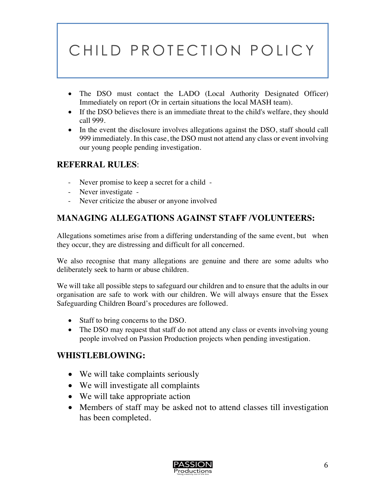- The DSO must contact the LADO (Local Authority Designated Officer) Immediately on report (Or in certain situations the local MASH team).
- If the DSO believes there is an immediate threat to the child's welfare, they should call 999.
- In the event the disclosure involves allegations against the DSO, staff should call 999 immediately. In this case, the DSO must not attend any class or event involving our young people pending investigation.

#### **REFERRAL RULES**:

- Never promise to keep a secret for a child -
- Never investigate -
- Never criticize the abuser or anyone involved

## **MANAGING ALLEGATIONS AGAINST STAFF /VOLUNTEERS:**

Allegations sometimes arise from a differing understanding of the same event, but when they occur, they are distressing and difficult for all concerned.

We also recognise that many allegations are genuine and there are some adults who deliberately seek to harm or abuse children.

We will take all possible steps to safeguard our children and to ensure that the adults in our organisation are safe to work with our children. We will always ensure that the Essex Safeguarding Children Board's procedures are followed.

- Staff to bring concerns to the DSO.
- The DSO may request that staff do not attend any class or events involving young people involved on Passion Production projects when pending investigation.

#### **WHISTLEBLOWING:**

- We will take complaints seriously
- We will investigate all complaints
- We will take appropriate action
- Members of staff may be asked not to attend classes till investigation has been completed.